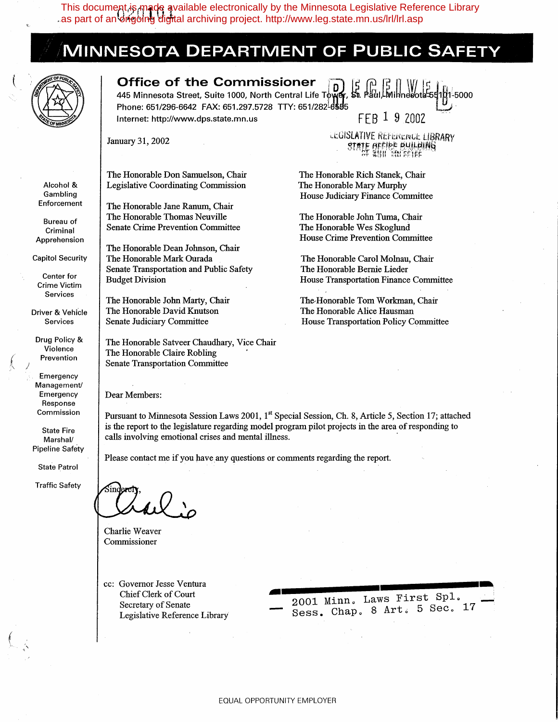This document,is made available electronically by the Minnesota Legislative Reference Library<br>as part of an drigoing digital archiving project. http://www.leg.state.mn.us/lrl/lrl.asp as part of an ongoing digital archiving project. http://www.leg.state.mn.us/lrl/lrl.asp

## **MINNESOTA DEPARTMENT OF PUBLIC SAFET**



Alcohol & Gambling Enforcement

Bureau of Criminal Apprehension Capitol Security

Center for Crime Victim Services Driver & Vehicle Services

Drug Policy & Violence Prevention Emergency Management/ Emergency Response Commission

State Fire Marshal/ Pipeline Safety

State Patrol Traffic Safety

*{*   $\wedge$  /

 $\left($ 

**Office of the Commissioner** <br>445 Minnesota Street, Suite 1000, North Central Life Town, St. Paul Minnesota:55101-5000 445 Minnesota Street, Suite 1000, North Central Life Towe

Phone: 651/296-6642 FAX: 651.297.5728 TTY: 651/282-65355<br>Internet: http://www.dps.state.mn.us FFB 1 9 2002 Internet: http://www.dps.state.mn.us

January 31, 2002

The Honorable Don Samuelson, Chair Legislative Coordinating Commission

The Honorable Jane Ranum, Chair The Honorable Thomas Neuville Senate Crime Prevention Committee

The Honorable Dean Johnson, Chair The Honorable Mark Ourada Senate Transportation and Public Safety Budget Division

The Honorable John Marty, Chair The Honorable David Knutson Senate Judiciary Committee

The Honorable Satveer Chaudhary, Vice Chair The Honorable Claire Robling Senate Transportation Committee

Dear Members:

Pursuant to Minnesota Session Laws 2001, 1<sup>st</sup> Special Session, Ch. 8, Article 5, Section 17; attached is the report to the legislature regarding model program pilot projects in the area of responding to calls involving emotional crises and mental illness.

Please contact me if you have any questions or comments regarding the report.

Charlie Weaver Commissioner

cc: Governor Jesse Ventura Chief Clerk of Court Secretary of Senate Legislative Reference Library

2001 Minn. Laws First Spl.<br>Sess. Chap. 8 Art. 5 Sec. 17

LEGISLATIVE REFERENCE LIBRARY **STATE GEFIER BUILBING** 

The Honorable Rich Stanek, Chair The Honorable Mary Murphy House Judiciary Finance Committee

The Honorable John Tuma, Chair The Honorable Wes Skoglund House Crime Prevention Committee

The Honorable Carol Molnau, Chair The Honorable Bernie Lieder House Transportation Finance Committee

The-Honorable Tom Workman, Chair The Honorable Alice Hausman House Transportation Policy Committee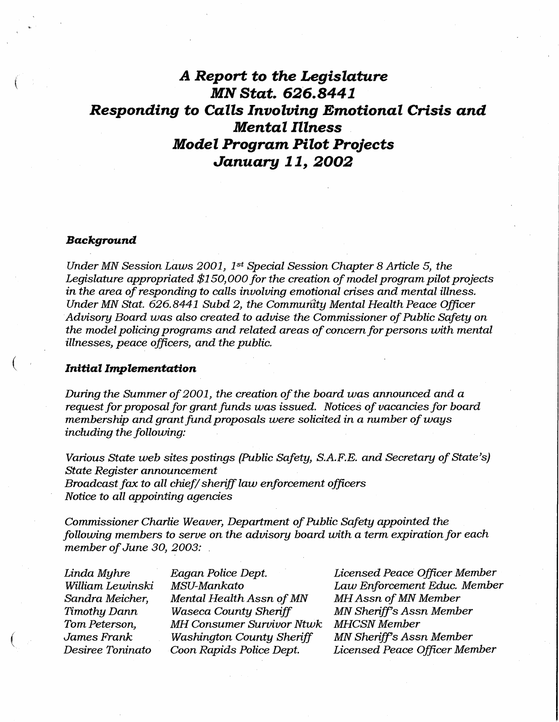## *A Report* **to** *the Legislature*  **MN** *Stat. 626.8441*  **Responding to Calls Involving Emotional Crisis and** *Mental Illness Model Program Pilot Projects January 11, 2002*

#### *Background*

(

 $\left($ 

 $\left($ 

*Under MN Session Laws 2001, 1<sup>st</sup> Special Session Chapter 8 Article 5, the* Legislature appropriated \$150,000 for the creation of model program pilot projects *in the area of responding to calls involving emotional crises and mental illness. Under MN Stat. 626.8441 Subd 2, the Community Mental Health Peace Officer Advisory Board was also created to advise the Commissioner of Public Safety on the model policing programs and related areas of concern for persons with mental illnesses, peace officers, and the public.* 

### *Initial Implementation*

*During the Summer of 2001, the creation of the board was announced and a request for proposal for grant funds was issued. Notices of vacancies for board membership and grant fund proposals were solicited in a number of ways including the following:* 

*Various State web sites postings (Public Safety, S.A.F.E. and Secretary of State's) State Register announcement Broadcast fax to all chief/ sheriff law enforcement officers Notice to all appointing agencies* 

*Commissioner Charlie Weaver, Department of Public Safety appointed the following members to serve on the advisory board with a term expiration for each member of June 30, 2003:* .

*Linda Myhre William Lewinski, Sandra Meicher, Timothy Dann Tom Peterson, James Frank Desiree Toninato* 

*Eagan Police Dept. MSU-Mankato Mental Health Assn of MN Waseca County Sheriff MH Consumer Survivor Ntwk Washington County Sheriff Coon Rapids Police Dept.* 

*Licensed Peace Officer Member Law Enforcement Educ. Member MH Assn of MN Member MN Sheriff's Assn Member MHCSN Member MN Sheriff's Assn Member Licensed Peace Officer Member*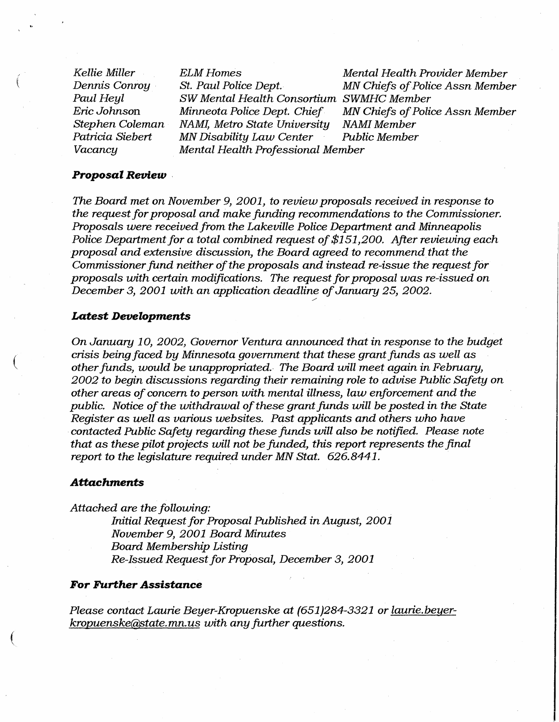*Kellie Miller Dennis Conroy* · *Paul Heyl Eric Johnson Stephen Coleman Patricia Siebert Vacancy* 

 $\left($ 

(

 $\big($ 

*SW Mental Health Consortium SWMHC Member NAM!, Metro State University NAMI Member MN Disability Law Center Mental Health Professional Member* 

*ELM Homes*<br>*Mental Health Provider Member*<br>*MN Chiefs of Police Assn Membe MN Chiefs of Police Assn Member MN Chiefs of Police Assn Member<br>NAMI Member* 

#### *Proposal Review* .

*The Board met on November 9, 2001, to review proposals received in response to the request for proposal and make funding recommendations to the Commissioner. Proposals were received from the Lakeville Police Department and Minneapolis Police Department for a total combined request of \$151,200. After reviewing each proposal and extensive discussion, the Board agreed to recommend.that the Commissioner fund neither of the proposals and instead re-issue the request for proposals with certain modifications. The request for proposal was re-issued on December 3, 2001 with an application deadline of January 25, 2002.* 

/

### *Latest Developments*

*On January 10, 2002, Governor Ventura announced that in response to the budget crisis being faced by Minnesota government that these grant funds as well as other funds, would be unappropriated.. The Board will meet again in Febrnary,*  2002 to begin discussions regarding their remaining role to advise Public Safety on *other areas of concern to person with mental illness, law enforcement and the public. Notice of the withdrawal of these grant funds will be posted in the State Register as well as various websites. Past applicants and others who have* · *contacted Public Safety regarding these funds will also be notified. Please note that as these pilot projects will not be funded, this report represents the final report to the legislature required under MN Stat. 626.8441.* 

### *Attachments*

*Attached are the following:* 

*Initial Request for Proposal Published in August, 2001 November 9, 2001 Board Minutes Board Membership Listing Re-Issued Request for Proposal, December 3, 2001* 

#### *For Further Assistance*

*Please contact Laurie Beyer-Kropuenske at (651)284-3321 or laurie.beyerkropuenske@state.mn.us with any further questions.*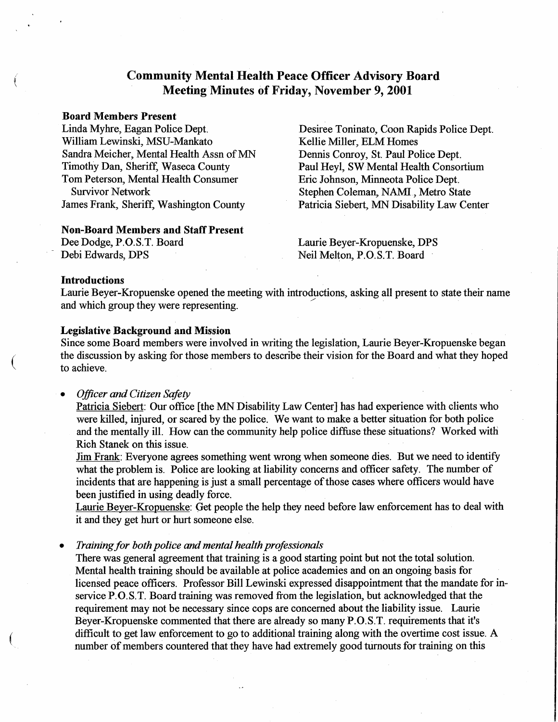### **Community Mental Health Peace Officer Advisory Board Meeting Minutes of Friday, November 9, 2001**

#### **Board Members Present**

Linda Myhre, Eagan Police Dept. William Lewinski, MSU-Mankato Sandra Meicher, Mental Health Assn of MN Timothy Dan, Sheriff, Waseca County Tom Peterson, Mental Health Consumer Survivor Network James Frank, Sheriff, Washington County

#### **Non-Board Members and Staff Present**

Dee Dodge, P.O.S.T. Board Debi Edwards, DPS

Desiree Toninato, Coon Rapids Police Dept. Kellie Miller, ELM Homes Dennis Conroy, St. Paul Police Dept. Paul Heyl, SW Mental Health Consortium Eric Johnson, Minneota Police Dept. Stephen Coleman, NAMI., Metro State Patricia Siebert, MN Disability Law Center

Laurie Beyer-Kropuenske, DPS Neil Melton, P.O.S.T. Board

### **Introductions**

 $\left(\right)$ 

 $\left($ 

Laurie Beyer-Kropuenske opened the meeting with introductions, asking all present to state their name and which group they were representing.

### **Legislative Background and Mission**

Since some Board members were involved in writing the legislation, Laurie Beyer-Kropuenske began the discussion by asking for those members to describe their vision for the Board and what they hoped to achieve.

*Officer and Citizen Safety* 

Patricia Siebert: Our office [the MN Disability Law Center] has had experience with clients who were killed, injured, or scared by the police. We want to make a better situation for both police and the mentally ill. How can the community help police diffuse these situations? Worked with Rich Stanek on this issue.

Jim Frank: Everyone agrees something went wrong when someone dies. But we need to identify what the problem is. Police are looking at liability concerns and officer safety. The number of incidents that are happening is just a small percentage of those cases where officers would have been justified in using deadly force.

Laurie Beyer-Kropuenske: Get people the help they need before law enforcement has to deal with it and they get hurt or hurt someone else.

• *Training for both police and mental health professionals* 

There was general agreement that training is a good starting point but not the total solution. Mental health training should be available at police academies and on an ongoing basis for licensed peace officers. Professor Bill Lewinski expressed disappointment that the mandate for inservice P.O.S.T. Board training was removed from the legislation, but acknowledged that the requirement may not be necessary since cops are concerned about the liability issue. Laurie Beyer-Kropuenske commented that there are already so many P.O.S.T. requirements that it's difficult to get law enforcement to go to additional training along with the overtime cost issue. A number of members countered that they have had extremely good turnouts for training on this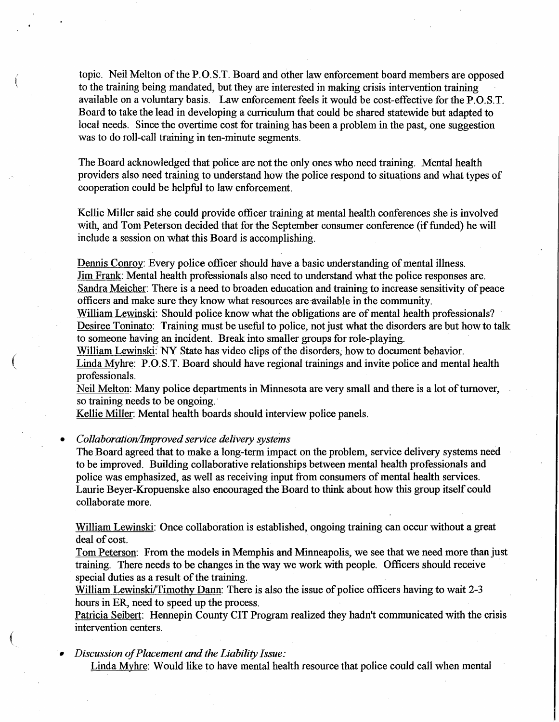topic. Neil Melton of the P.O.S.T. Board and other law enforcement board members are opposed to the training being mandated, but they are interested in making crisis intervention training available on a voluntary basis. Law enforcement feels it would be cost-effective for the P.O.S.T. Board to take the lead in developing a curriculum that could be shared statewide but adapted to local needs. Since the overtime cost for training has been a problem in the past, one suggestion was to do roll-call training in ten-minute segments.

The Board acknowledged that police are not the only ones who need training. Mental health providers also need training to understand how the police respond to situations and what types of cooperation could be helpful to law enforcement.

Kellie Miller said she could provide officer training at mental health conferences she is involved with, and Tom Peterson decided that for the September consumer conference (if funded) he will include a session on what this Board is accomplishing.

Dennis Conroy: Every police officer should have a basic understanding of mental illness. Jim Frank: Mental health professionals also need to understand what the police responses are. Sandra Meicher: There is a need to broaden education and training to increase sensitivity of peace officers and make sure they know what resources are-available in the community.

William Lewinski: Should police know what the obligations are of mental health professionals? Desiree Toninato: Training must be useful to police, not just what the disorders are but how to talk to someone having an incident. Break into smaller groups for role-playing.

William Lewinski: NY State has video clips of the disorders; how to document behavior. Linda Myhre: P.O.S.T. Board should have regional trainings and invite police and mental health professionals.

Neil Melton: Many police departments in Minnesota are very small and there is a lot of turnover, so training needs to be ongoing.

Kellie Miller: Mental health boards should interview police panels.

• *Collaboration/Improved service delivery systems* 

 $\big($ 

 $\left($ 

The Board agreed that to make a long-term impact on the problem, service delivery systems need to be improved. Building collaborative relationships between mental health professionals and police was emphasized, as well as receiving input from consumers of mental health services. Laurie Beyer-Kropuenske also encouraged the Board to think about how this group itself could collaborate more.

William Lewinski: Once collaboration is established, ongoing training can occur without a great deal of cost.

Tom Peterson: From the models in Memphis and Minneapolis, we see that we need more than just training. There needs to be changes in the way we work with people. Officers should receive special duties as a result of the training.

William Lewinski/Timothy Dann: There is also the issue of police officers having to wait 2-3 hours in ER, need to speed up the process.

Patricia Seibert: Hennepin County CIT Program realized they hadn't communicated with the crisis intervention centers.

• *Discussion of Placement and the Liability Issue:* 

Linda Myhre: Would like to have mental health resource that police could call when mental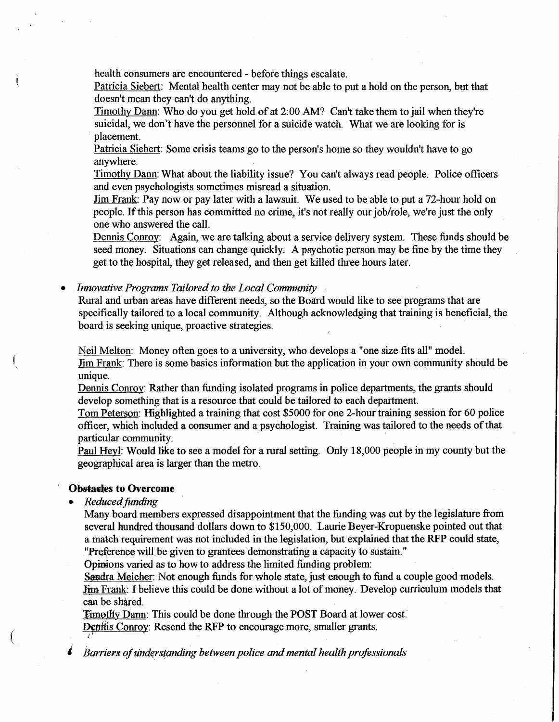health consumers are encountered - before things escalate.

Patricia Siebert: Mental health center may not be able to put a hold on the person, but that doesn't mean they can't do anything.

Timothy Dann: Who do you get hold of at 2:00 AM? Can't take them to jail when they're suicidal, we don't have the personnel for a suicide watch. What we are looking for is placement.

Patricia Siebert: Some crisis teams go to the person's home so they wouldn't have to go anywhere.

Timothy Dann: What about the liability issue? You can't always read people. Police officers and even psychologists sometimes misread a situation.

Jim Frank: Pay now or pay later with a lawsuit. We used to be able to put a 72-hour hold on people. If this person has committed no crime, it's not really our job/role, we're just the only one who answered the call.

Dennis Conroy: Again, we are talking about a service delivery system. These funds should be seed money. Situations can change quickly. A psychotic person may be fine by the time they get to the hospital, they get released, and then get killed three hours later.

• *Innovative Programs Tailored to the Local Community* •

Rural and urban areas have different needs, so the Board would like to see programs that are specifically tailored to a local community. Although acknowledging that training is beneficial, the board is seeking unique, proactive strategies.

Neil Melton: Money often goes to a university, who develops a "one size fits all" model. Jim Frank: There is some basics information but the application in your own community should be unique.

Dennis Conroy: Rather than funding isolated programs in police departments, the grants should develop something that is a resource that could be tailored to each department.

Tom Peterson: Highlighted a training that cost \$5000 for one 2-hour training session for 60 police officer, which included a consumer and a psychologist. Training was tailored to the needs of that particular community.

Paul Heyl: Would like to see a model for a rural setting. Only 18,000 people in my county but the geographical area is larger than the metro.

### **Obsiades to Overcome**

• *Reduced funding* 

 $\big($ 

Many. board members expressed disappointment that the funding was cut by the legislature from several hundred thousand dollars down to \$150,000. Laurie Beyer-Kropuenske pointed out that a match requirement was not included in the legislation, but explained that the RFP could state, "Preference will be given to grantees demonstrating a capacity to sustain."

Opinions varied as to how to address the limited funding problem:

Sandra Meicher: Not enough funds for whole state, just enough to fund a couple good models. Jim Frank: I believe this could be done without a lot of money. Develop curriculum models that can be shared.

**Timothy Dann:** This could be done through the POST Board at lower cost. **Dentiis Conroy: Resend the RFP to encourage more, smaller grants.** 

*Barriers of understanding between police and mental health professionals*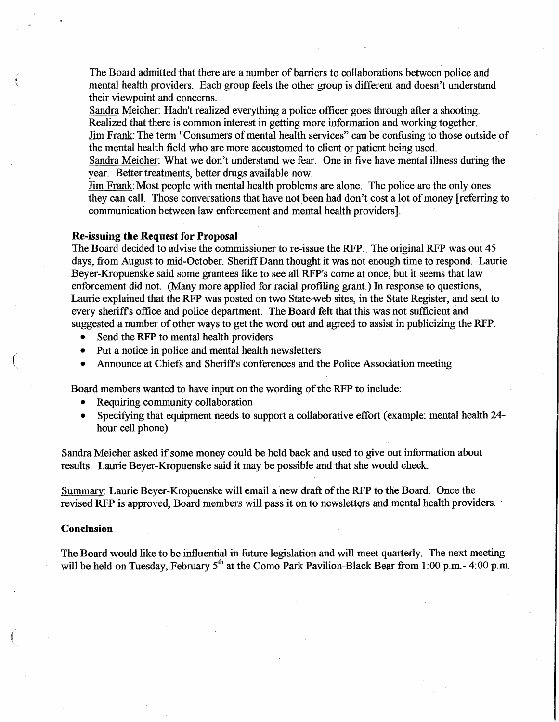The Board admitted that there are a number of barriers to collaborations between police and mental health providers. Each group feels the other group is different and doesn't understand their viewpoint and concerns.

Sandra Meicher: Hadn't realized everything a police officer goes through after a shooting. Realized that there is common interest in getting more information and working together. Jim Frank: The term "Consumers of mental health services" can be confusing to those outside of the mental health field who are more accustomed to client or patient being used.

Sandra Meicher: What we don't understand we fear. One in five have mental illness during the year. Better treatments, better drugs available now.

Jim Frank: Most people with mental health problems are alone. The police are the only ones they can call. Those conversations that have not been had don't cost a lot of money [ referring to communication between law enforcement and mental health providers].

### **Re-issuing the Request for Proposal**

The Board decided to advise the commissioner to re-issue the RFP. The original RFP was out 45 days, from August to mid-October. Sheriff Dann thought it was not enough time to respond. Laurie Beyer-Kropuenske said some grantees like to see all RFP's come at once, but it seems that law enforcement did not. (Many more applied for racial profiling grant.) In response to questions, Laurie explained that the RFP was posted on two State-web sites, in the State Register, and sent to every sheriffs office and police department. The Board felt that this was not sufficient and suggested a number of other ways to get the word out and agreed to assist in publicizing the RFP.

- Send the RFP to mental health providers
- Put a notice in police and mental health newsletters
- Announce at Chiefs and Sheriffs conferences and the Police Association meeting

Board members wanted to have input on the wording of the RFP to include:

- Requiring community collaboration
- Specifying that equipment needs to support a collaborative effort (example: mental health 24hour cell phone)

Sandra Meicher asked if some money could be held back and used to give out information about results. Laurie Beyer-Kropuenske said it may be possible and that she would check.

Summary: Laurie Beyer-Kropuenske will email a new draft of the RFP to the Board. Once the revised RFP is approved, Board members will pass it on to newsletters and mental health providers.

#### **Conclusion**

Ii  $\checkmark$ 

 $\left(\right)$ 

 $\big($ 

The Board would like to be influential in future legislation and will meet quarterly. The next meeting will be held on Tuesday, February  $5<sup>th</sup>$  at the Como Park Pavilion-Black Bear from 1:00 p.m. - 4:00 p.m.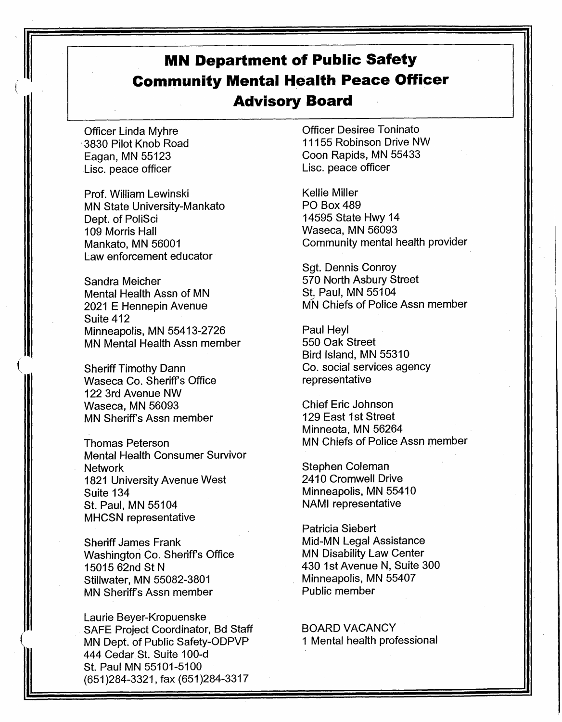# **MN Department of Public Safety Community Mental Health Peace Officer Advisory Board**

Officer Linda Myhre · 3830 Pilot Knob Road Eagan, MN 55123 Lise. peace officer

Prof. William Lewinski MN State University-Mankato Dept. of PoliSci 109 Morris Hall Mankato, MN 56001 Law enforcement educator

Sandra Meicher Mental Health Assn of MN 2021 E Hennepin Avenue Suite 412 Minneapolis, MN 55413-2726 MN Mental Health Assn member

Sheriff Timothy Dann Waseca Co. Sheriff's Office 122 3rd Avenue NW Waseca, MN 56093 MN Sheriff's Assn member

 $\left(\right)$ 

Thomas Peterson Mental Health Consumer Survivor Network 1821 University Avenue West Suite 134 St. Paul, MN 55104 MHCSN representative

Sheriff James Frank Washington Co. Sheriff's Office 15015 62nd St N Stillwater, MN 55082-3801 MN Sheriff's Assn member

Laurie Beyer-Kropuenske SAFE Project Coordinator, Bd Staff MN Dept. of Public Safety-ODPVP 444 Cedar St. Suite 100-d St. Paul MN 55101-5100 (651 )284-3321, fax (651 )284-3317

Officer Desiree Toninato 11155 Robinson Drive NW Coon Rapids, MN 55433 Lise. peace officer

Kellie Miller PO Box489 14595 State Hwy 14 Waseca, MN 56093 Community mental health provider

Sgt. Dennis Conroy 570 North Asbury Street St. Paul, MN 55104 MN Chiefs of Police Assn member

Paul Heyl 550 Oak Street Bird Island, MN 55310 Co. social services agency representative

Chief Eric Johnson 129 East 1st Street Minneota, MN 56264 MN Chiefs of Police Assn member

Stephen Coleman 2410 Cromwell Drive Minneapolis, MN 55410 NAMI representative

Patricia Siebert Mid-MN Legal Assistance MN Disability Law Center 430 1st Avenue N, Suite 300 Minneapolis, MN 55407 Public member

BOARD VACANCY 1 Mental health professional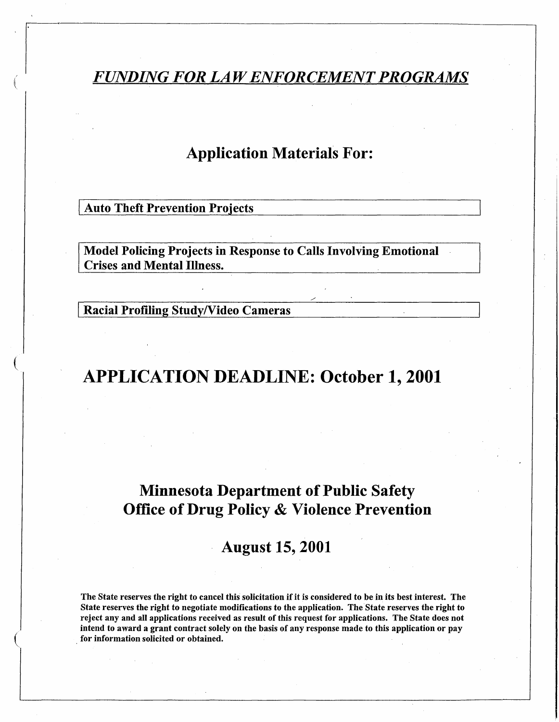## *FUNDING FOR LAW ENFORCEMENT PROGRAMS*

## Application Materials For:

**Auto Theft Prevention Projects** 

 $\overline{\phantom{a}}$ 

 $\left(\right)$ 

 $\left(\right)$ 

Model Policing Projects in Response to Calls Involving Emotional Crises and Mental Illness.

Racial Profiling Study/Video Cameras

# APPLICATION DEADLINE: October 1, 2001

## Minnesota Department of Public Safety Office of Drug Policy & Violence Prevention

### August 15, 2001

The State reserves the right to cancel this solicitation if it is considered to be in its best interest. The State reserves the right to negotiate modifications to the application. The.State reserves the right to reject any and all applications received as result of this request for applications. The State does not intend to award a grant contract solely on the basis of any response made to this application or pay for information solicited or obtained.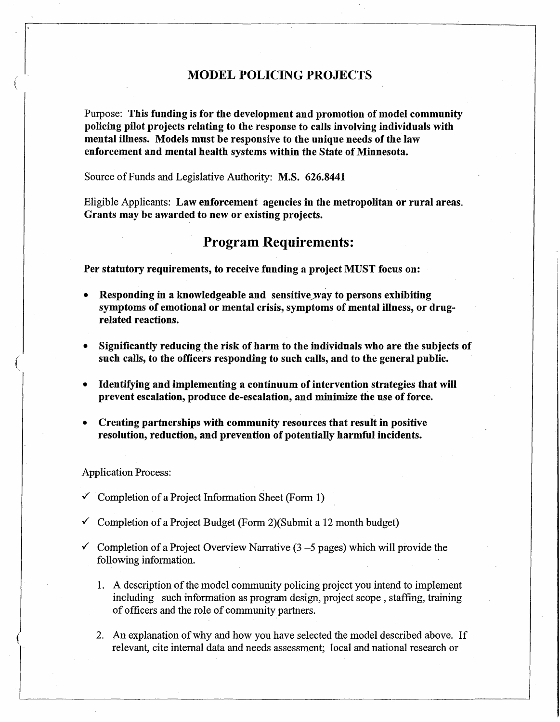### **MODEL POLICING PROJECTS**

Purpose: **This funding is for the development and promotion of model community policing pilot projects relating to the response to calls involving individuals with mental illness. Models must be responsive to the unique needs of the law enforcement and mental health systems within the State of Minnesota.** 

Source of Funds and Legislative Authority: **M.S. 626.8441** 

Eligible Applicants: **Law enforcement agencies in the metropolitan or rural areas. Grants may be awarded to new or existing projects.** 

### **Program Requirements:**

**Per statutory requirements, to receive funding a project MUST focus on:** 

- **Responding in a knowledgeable and sensitive way to persons exhibiting symptoms of emotional or mental crisis, symptoms of mental illness, or drugrelated reactions.**
- **Significantly reducing the risk of harm to the individuals who are the subjects of such calls, to the officers responding to such calls, and to the general public.**
- **Identifying and implementing a continuum of intervention strategies that will**  prevent escalation, produce de-escalation, and minimize the use of force.
- **Creating partnerships with community resources that result in positive resolution, reduction, and prevention of potentially harmful incidents.** ·

Application Process:

(

- $\checkmark$  Completion of a Project Information Sheet (Form 1)
- $\checkmark$  Completion of a Project Budget (Form 2)(Submit a 12 month budget)
- $\checkmark$  Completion of a Project Overview Narrative (3 5 pages) which will provide the following information.
	- 1. A description of the model community policing project you intend to implement including such information as program design, project scope, staffing, training of officers and the role of community partners.
	- 2. An explanation of why and how you have selected the model described above. If relevant, cite internal data and needs assessment; local and national research or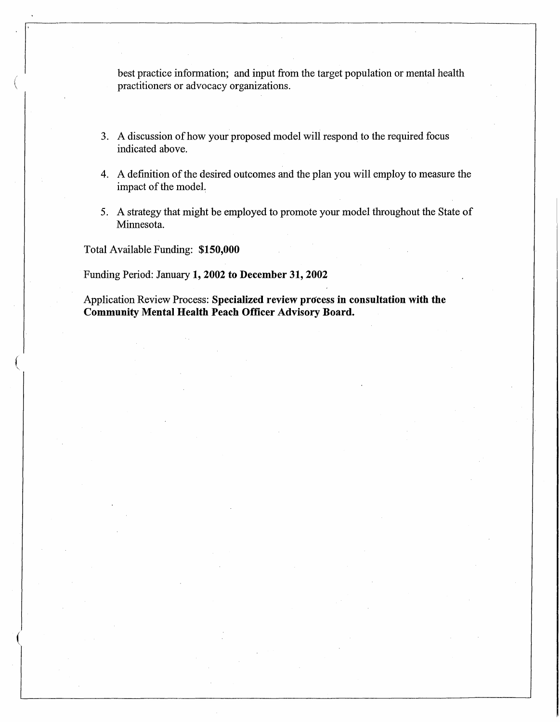best practice information; and input from the target population or mental health practitioners or advocacy organizations.

- 3. A discussion of how your proposed model will respond to the required focus indicated above.
- 4. A definition of the desired outcomes and the plan you will employ to measure the impact of the modeL
- 5. A strategy that might be employed to promote your model throughout the State of Minnesota.

Total Available Funding: **\$150,000** 

 $\left($ 

 $\left($ '

(

Funding Period: January **1, 2002 to December 31, 2002** 

Application Review Process: **Specialized review process in consultation with the Community Mental Health Peach Officer Advisory Board.**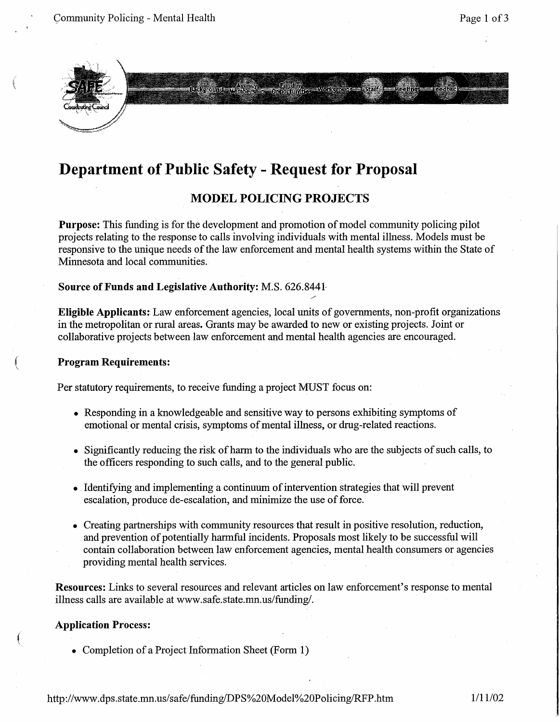

 $\left($ 

## **Department of Public Safety** - **Request for Proposal**

### **MODEL POLICING PROJECTS**

nding<br>amin's == viction of == 5000 ===

**Purpose:** This funding is for the development and promotion of model community policing pilot projects relating to the response to calls involving individuals with mental illness. Models must be responsive to the unique needs of the law enforcement and mental health systems within the State of Minnesota and local communities.

### **Source of Funds and Legislative Authority:** M.S. 626.8441-

**Eligible Applicants:** Law enforcement agencies, local units of governments, non-profit organizations in the metropolitan or rural areas. Grants may be awarded to new or existing projects. Joint or collaborative projects between law enforcement and mental health agencies are encouraged.

### ( **Program Requirements:**

Per statutory requirements, to receive funding a project MUST focus on:

- Responding in a knowledgeable and sensitive way to persons exhibiting symptoms of emotional or mental crisis, symptoms of mental illness, or drug-related reactions.
- Significantly reducing the risk of harm to the individuals who are the subjects of such calls, to the officers responding to such calls, and to the general public.
- Identifying and implementing a continuum of intervention strategies that will prevent escalation, produce de-escalation, and minimize the use of force.
- Creating partnerships with community resources that result in positive resolution, reduction, and prevention of potentially harmful incidents. Proposals most likely to be successful will contain collaboration between law enforcement agencies, mental health consumers or agencies providing mental health services.

**Resources:** Links to several resources and relevant articles on law enforcement's response to mental illness calls are available at www.safe.state.mn.us/funding/.

### **Application Process:**

 $\left($ 

• Completion of a Project Information Sheet (Form 1)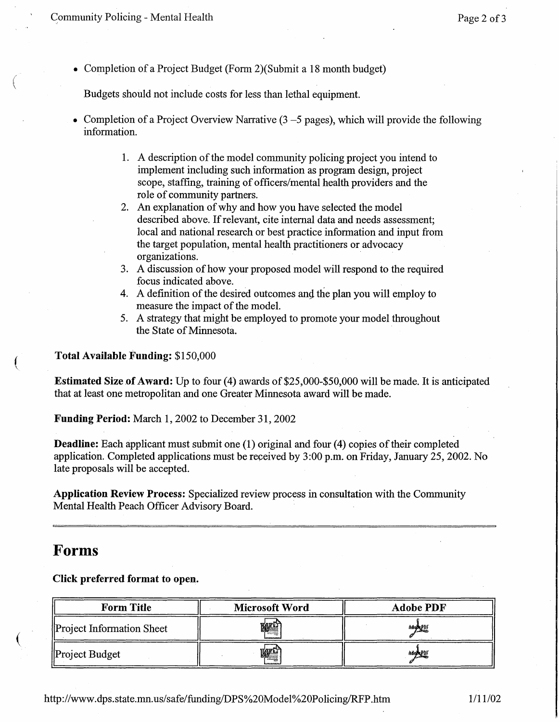$\mu$  Page 2 of 3

 $\Big($ 

(

 $\overline{(\ }$ 

• Completion of a Project Budget (Form 2) (Submit a 18 month budget)

Budgets should not include costs for less than lethal equipment.

- Completion of a Project Overview Narrative  $(3 5)$  pages), which will provide the following information.
	- 1. A description of the model community policing project you intend to implement including such information as program design, project scope, staffing, training of officers/mental health providers and the role of community partners.
	- 2. An explanation of why and how you have selected the model described above. If relevant, cite internal data and needs assessment; local and national research or best practice information and input from the target population, mental health practitioners or advocacy organizations.
	- 3. A discussion of how your proposed model will respond to the required focus indicated above.
	- 4. A definition of the desired outcomes and the plan you will employ to measure the impact of the model.
	- 5. A strategy that might be employed to promote your model throughout the State of Minnesota.

**Total Available Funding:** \$150,000

**Estimated Size of Award:** Up to four (4) awards of \$25,000-\$50,000 will be made. It is anticipated that at least one metropolitan and one Greater Minnesota award will be made.

**Funding Period:** March 1, 2002 to December 31, 2002

**Deadline:** Each applicant must submit one (1) original and four (4) copies of their completed application. Completed applications must be received by 3:00 p.m. on Friday, January 25, 2002. No late proposals will be accepted.

**Application Review Process:** Specialized review process in consultation with the Community Mental Health Peach Officer Advisory Board.

### **Forms**

**Click preferred format to open.** 

| <b>Form Title</b>         | <b>Microsoft Word</b> | <b>Adobe PDF</b> |
|---------------------------|-----------------------|------------------|
| Project Information Sheet | W≌                    | 洲处址              |
| Project Budget            | 喱                     | Adapt PDF        |